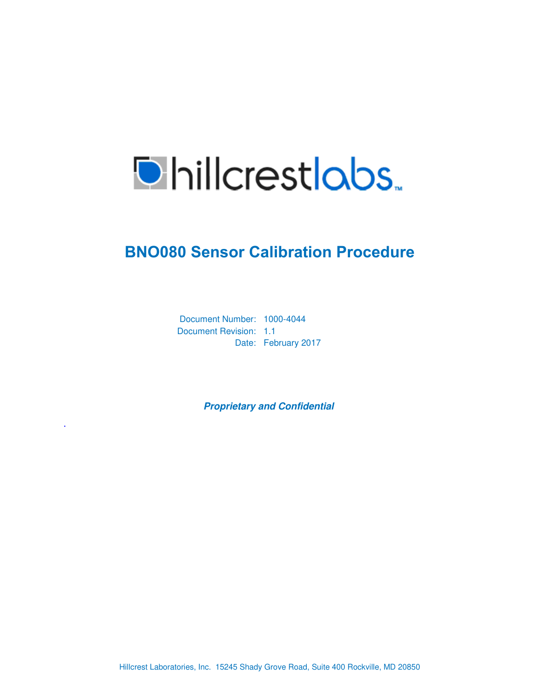

## **BNO080 Sensor Calibration Procedure**

Document Number: 1000-4044 Document Revision: 1.1 Date: February 2017

.

**Proprietary and Confidential** 

Hillcrest Laboratories, Inc. 15245 Shady Grove Road, Suite 400 Rockville, MD 20850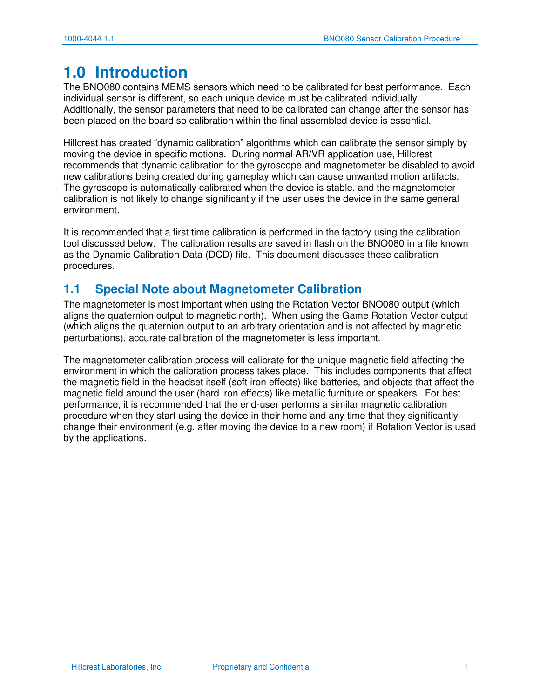## **1.0 Introduction**

The BNO080 contains MEMS sensors which need to be calibrated for best performance. Each individual sensor is different, so each unique device must be calibrated individually. Additionally, the sensor parameters that need to be calibrated can change after the sensor has been placed on the board so calibration within the final assembled device is essential.

Hillcrest has created "dynamic calibration" algorithms which can calibrate the sensor simply by moving the device in specific motions. During normal AR/VR application use, Hillcrest recommends that dynamic calibration for the gyroscope and magnetometer be disabled to avoid new calibrations being created during gameplay which can cause unwanted motion artifacts. The gyroscope is automatically calibrated when the device is stable, and the magnetometer calibration is not likely to change significantly if the user uses the device in the same general environment.

It is recommended that a first time calibration is performed in the factory using the calibration tool discussed below. The calibration results are saved in flash on the BNO080 in a file known as the Dynamic Calibration Data (DCD) file. This document discusses these calibration procedures.

### **1.1 Special Note about Magnetometer Calibration**

The magnetometer is most important when using the Rotation Vector BNO080 output (which aligns the quaternion output to magnetic north). When using the Game Rotation Vector output (which aligns the quaternion output to an arbitrary orientation and is not affected by magnetic perturbations), accurate calibration of the magnetometer is less important.

The magnetometer calibration process will calibrate for the unique magnetic field affecting the environment in which the calibration process takes place. This includes components that affect the magnetic field in the headset itself (soft iron effects) like batteries, and objects that affect the magnetic field around the user (hard iron effects) like metallic furniture or speakers. For best performance, it is recommended that the end-user performs a similar magnetic calibration procedure when they start using the device in their home and any time that they significantly change their environment (e.g. after moving the device to a new room) if Rotation Vector is used by the applications.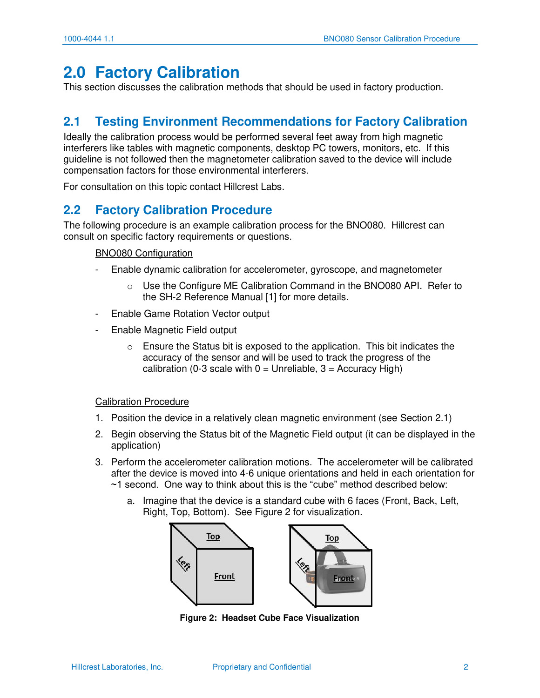### **2.0 Factory Calibration**

This section discusses the calibration methods that should be used in factory production.

### <span id="page-2-0"></span>**2.1 Testing Environment Recommendations for Factory Calibration**

Ideally the calibration process would be performed several feet away from high magnetic interferers like tables with magnetic components, desktop PC towers, monitors, etc. If this guideline is not followed then the magnetometer calibration saved to the device will include compensation factors for those environmental interferers.

For consultation on this topic contact Hillcrest Labs.

### **2.2 Factory Calibration Procedure**

The following procedure is an example calibration process for the BNO080. Hillcrest can consult on specific factory requirements or questions.

#### BNO080 Configuration

- Enable dynamic calibration for accelerometer, gyroscope, and magnetometer
	- o Use the Configure ME Calibration Command in the BNO080 API. Refer to the SH-2 Reference Manual [1] for more details.
- Enable Game Rotation Vector output
- Enable Magnetic Field output
	- Ensure the Status bit is exposed to the application. This bit indicates the accuracy of the sensor and will be used to track the progress of the calibration (0-3 scale with  $0 =$  Unreliable,  $3 =$  Accuracy High)

#### Calibration Procedure

- 1. Position the device in a relatively clean magnetic environment (see Section [2.1\)](#page-2-0)
- 2. Begin observing the Status bit of the Magnetic Field output (it can be displayed in the application)
- 3. Perform the accelerometer calibration motions. The accelerometer will be calibrated after the device is moved into 4-6 unique orientations and held in each orientation for ~1 second. One way to think about this is the "cube" method described below:
	- a. Imagine that the device is a standard cube with 6 faces (Front, Back, Left, Right, Top, Bottom). See Figure 2 for visualization.



**Figure 2: Headset Cube Face Visualization**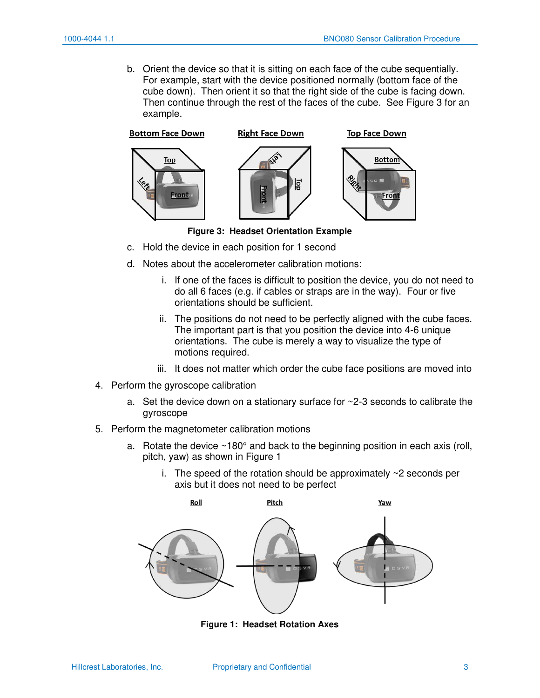b. Orient the device so that it is sitting on each face of the cube sequentially. For example, start with the device positioned normally (bottom face of the cube down). Then orient it so that the right side of the cube is facing down. Then continue through the rest of the faces of the cube. See Figure 3 for an example.



**Bottom Face Down** 



**Right Face Down** 





**Figure 3: Headset Orientation Example** 

- c. Hold the device in each position for 1 second
- d. Notes about the accelerometer calibration motions:
	- i. If one of the faces is difficult to position the device, you do not need to do all 6 faces (e.g. if cables or straps are in the way). Four or five orientations should be sufficient.
	- ii. The positions do not need to be perfectly aligned with the cube faces. The important part is that you position the device into 4-6 unique orientations. The cube is merely a way to visualize the type of motions required.
	- iii. It does not matter which order the cube face positions are moved into
- 4. Perform the gyroscope calibration
	- a. Set the device down on a stationary surface for ~2-3 seconds to calibrate the gyroscope
- 5. Perform the magnetometer calibration motions
	- a. Rotate the device  $\sim$ 180 $^{\circ}$  and back to the beginning position in each axis (roll, pitch, yaw) as shown in Figure 1
		- i. The speed of the rotation should be approximately ~2 seconds per axis but it does not need to be perfect



**Figure 1: Headset Rotation Axes**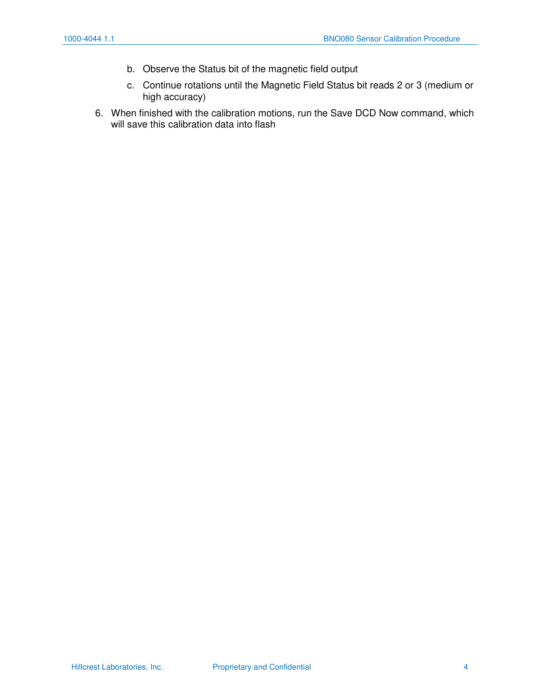- b. Observe the Status bit of the magnetic field output
- c. Continue rotations until the Magnetic Field Status bit reads 2 or 3 (medium or high accuracy)
- 6. When finished with the calibration motions, run the Save DCD Now command, which will save this calibration data into flash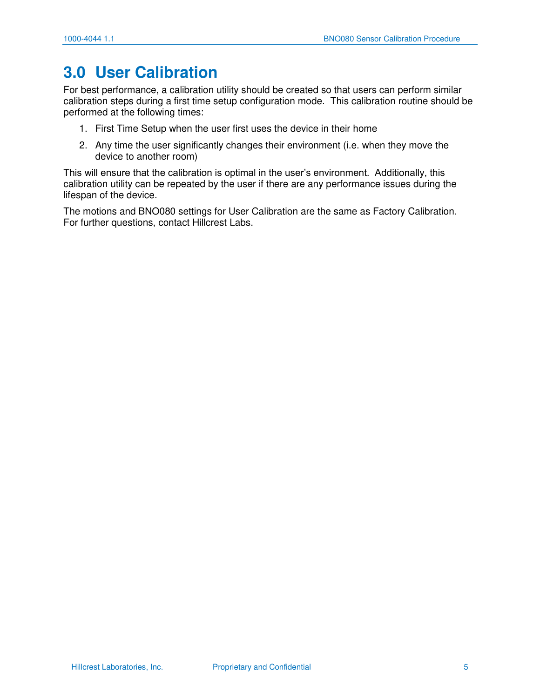## **3.0 User Calibration**

For best performance, a calibration utility should be created so that users can perform similar calibration steps during a first time setup configuration mode. This calibration routine should be performed at the following times:

- 1. First Time Setup when the user first uses the device in their home
- 2. Any time the user significantly changes their environment (i.e. when they move the device to another room)

This will ensure that the calibration is optimal in the user's environment. Additionally, this calibration utility can be repeated by the user if there are any performance issues during the lifespan of the device.

The motions and BNO080 settings for User Calibration are the same as Factory Calibration. For further questions, contact Hillcrest Labs.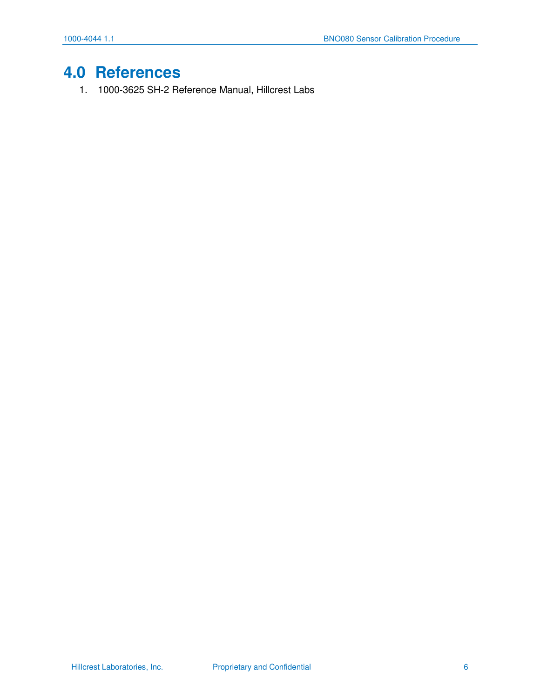# **4.0 References**

1. 1000-3625 SH-2 Reference Manual, Hillcrest Labs